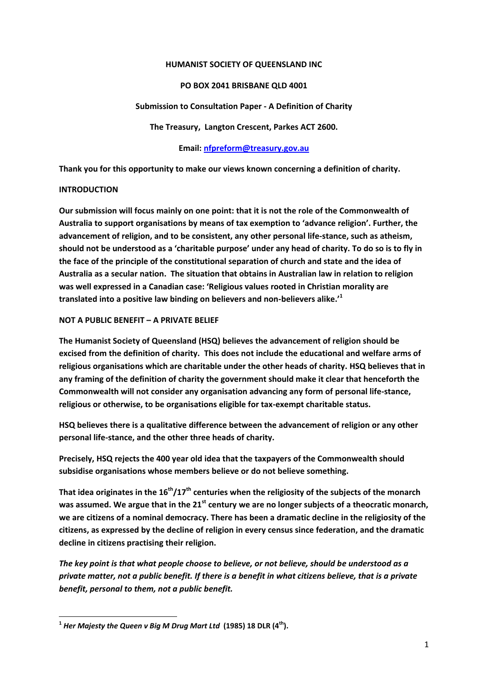#### **HUMANIST SOCIETY OF QUEENSLAND INC**

### **PO BOX 2041 BRISBANE QLD 4001**

#### **Submission to Consultation Paper - A Definition of Charity**

**The Treasury, Langton Crescent, Parkes ACT 2600.**

### **Email[: nfpreform@treasury.gov.au](mailto:nfpreform@treasury.gov.au)**

**Thank you for this opportunity to make our views known concerning a definition of charity.**

### **INTRODUCTION**

**.** 

**Our submission will focus mainly on one point: that it is not the role of the Commonwealth of Australia to support organisations by means of tax exemption to 'advance religion'. Further, the advancement of religion, and to be consistent, any other personal life-stance, such as atheism, should not be understood as a 'charitable purpose' under any head of charity. To do so is to fly in the face of the principle of the constitutional separation of church and state and the idea of Australia as a secular nation. The situation that obtains in Australian law in relation to religion was well expressed in a Canadian case: 'Religious values rooted in Christian morality are translated into a positive law binding on believers and non-believers alike.'<sup>1</sup>**

### **NOT A PUBLIC BENEFIT – A PRIVATE BELIEF**

**The Humanist Society of Queensland (HSQ) believes the advancement of religion should be excised from the definition of charity. This does not include the educational and welfare arms of religious organisations which are charitable under the other heads of charity. HSQ believes that in any framing of the definition of charity the government should make it clear that henceforth the Commonwealth will not consider any organisation advancing any form of personal life-stance, religious or otherwise, to be organisations eligible for tax-exempt charitable status.**

**HSQ believes there is a qualitative difference between the advancement of religion or any other personal life-stance, and the other three heads of charity.** 

**Precisely, HSQ rejects the 400 year old idea that the taxpayers of the Commonwealth should subsidise organisations whose members believe or do not believe something.**

**That idea originates in the 16th/17th centuries when the religiosity of the subjects of the monarch was assumed. We argue that in the 21st century we are no longer subjects of a theocratic monarch, we are citizens of a nominal democracy. There has been a dramatic decline in the religiosity of the citizens, as expressed by the decline of religion in every census since federation, and the dramatic decline in citizens practising their religion.**

*The key point is that what people choose to believe, or not believe, should be understood as a private matter, not a public benefit. If there is a benefit in what citizens believe, that is a private benefit, personal to them, not a public benefit.*

**<sup>1</sup>** *Her Majesty the Queen v Big M Drug Mart Ltd* **(1985) 18 DLR (4th).**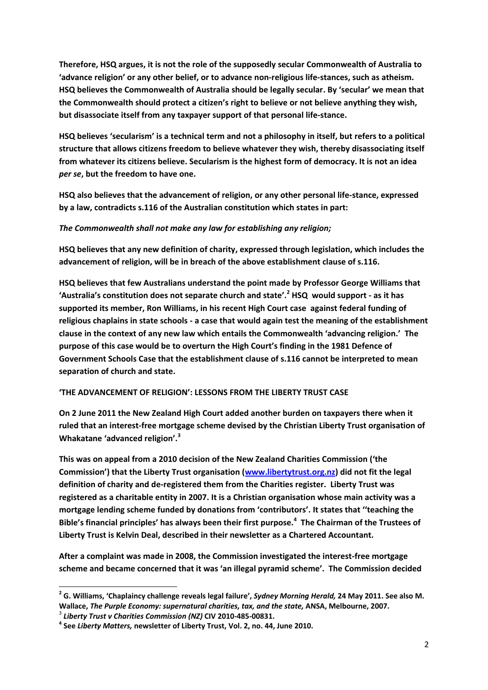**Therefore, HSQ argues, it is not the role of the supposedly secular Commonwealth of Australia to 'advance religion' or any other belief, or to advance non-religious life-stances, such as atheism. HSQ believes the Commonwealth of Australia should be legally secular. By 'secular' we mean that the Commonwealth should protect a citizen's right to believe or not believe anything they wish, but disassociate itself from any taxpayer support of that personal life-stance.**

**HSQ believes 'secularism' is a technical term and not a philosophy in itself, but refers to a political structure that allows citizens freedom to believe whatever they wish, thereby disassociating itself from whatever its citizens believe. Secularism is the highest form of democracy. It is not an idea** *per se***, but the freedom to have one.**

**HSQ also believes that the advancement of religion, or any other personal life-stance, expressed by a law, contradicts s.116 of the Australian constitution which states in part:**

## *The Commonwealth shall not make any law for establishing any religion;*

**HSQ believes that any new definition of charity, expressed through legislation, which includes the advancement of religion, will be in breach of the above establishment clause of s.116.**

**HSQ believes that few Australians understand the point made by Professor George Williams that 'Australia's constitution does not separate church and state'. <sup>2</sup> HSQ would support - as it has supported its member, Ron Williams, in his recent High Court case against federal funding of religious chaplains in state schools - a case that would again test the meaning of the establishment clause in the context of any new law which entails the Commonwealth 'advancing religion.' The purpose of this case would be to overturn the High Court's finding in the 1981 Defence of Government Schools Case that the establishment clause of s.116 cannot be interpreted to mean separation of church and state.**

# **'THE ADVANCEMENT OF RELIGION': LESSONS FROM THE LIBERTY TRUST CASE**

**On 2 June 2011 the New Zealand High Court added another burden on taxpayers there when it ruled that an interest-free mortgage scheme devised by the Christian Liberty Trust organisation of Whakatane 'advanced religion'. 3**

**This was on appeal from a 2010 decision of the New Zealand Charities Commission ('the Commission') that the Liberty Trust organisation [\(www.libertytrust.org.nz\)](http://www.libertytrust.org.nz/) did not fit the legal definition of charity and de-registered them from the Charities register. Liberty Trust was registered as a charitable entity in 2007. It is a Christian organisation whose main activity was a mortgage lending scheme funded by donations from 'contributors'. It states that ''teaching the Bible's financial principles' has always been their first purpose.<sup>4</sup> The Chairman of the Trustees of Liberty Trust is Kelvin Deal, described in their newsletter as a Chartered Accountant.**

**After a complaint was made in 2008, the Commission investigated the interest-free mortgage scheme and became concerned that it was 'an illegal pyramid scheme'. The Commission decided** 

1

**<sup>2</sup> G. Williams, 'Chaplaincy challenge reveals legal failure',** *Sydney Morning Herald,* **24 May 2011. See also M. Wallace,** *The Purple Economy: supernatural charities, tax, and the state,* **ANSA, Melbourne, 2007.**

<sup>3</sup> *Liberty Trust v Charities Commission (NZ)* **CIV 2010-485-00831.**

**<sup>4</sup> See** *Liberty Matters,* **newsletter of Liberty Trust, Vol. 2, no. 44, June 2010.**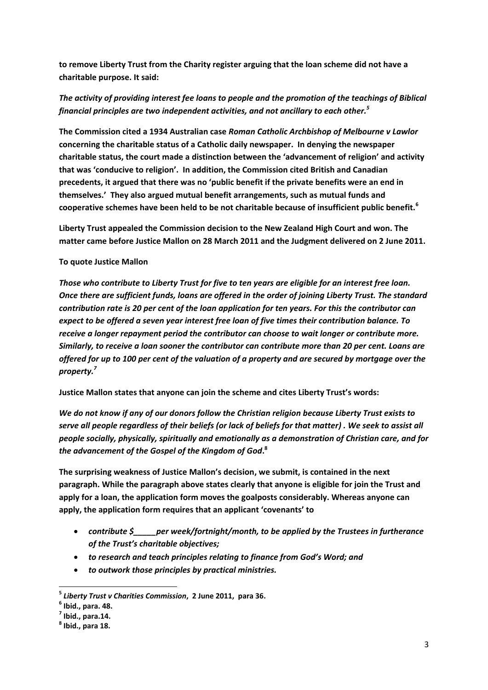**to remove Liberty Trust from the Charity register arguing that the loan scheme did not have a charitable purpose. It said:**

# *The activity of providing interest fee loans to people and the promotion of the teachings of Biblical financial principles are two independent activities, and not ancillary to each other.<sup>5</sup>*

**The Commission cited a 1934 Australian case** *Roman Catholic Archbishop of Melbourne v Lawlor* **concerning the charitable status of a Catholic daily newspaper. In denying the newspaper charitable status, the court made a distinction between the 'advancement of religion' and activity that was 'conducive to religion'. In addition, the Commission cited British and Canadian precedents, it argued that there was no 'public benefit if the private benefits were an end in themselves.' They also argued mutual benefit arrangements, such as mutual funds and cooperative schemes have been held to be not charitable because of insufficient public benefit.<sup>6</sup>**

**Liberty Trust appealed the Commission decision to the New Zealand High Court and won. The matter came before Justice Mallon on 28 March 2011 and the Judgment delivered on 2 June 2011.** 

## **To quote Justice Mallon**

*Those who contribute to Liberty Trust for five to ten years are eligible for an interest free loan. Once there are sufficient funds, loans are offered in the order of joining Liberty Trust. The standard contribution rate is 20 per cent of the loan application for ten years. For this the contributor can expect to be offered a seven year interest free loan of five times their contribution balance. To receive a longer repayment period the contributor can choose to wait longer or contribute more. Similarly, to receive a loan sooner the contributor can contribute more than 20 per cent. Loans are offered for up to 100 per cent of the valuation of a property and are secured by mortgage over the property.<sup>7</sup>*

**Justice Mallon states that anyone can join the scheme and cites Liberty Trust's words:**

*We do not know if any of our donors follow the Christian religion because Liberty Trust exists to serve all people regardless of their beliefs (or lack of beliefs for that matter) . We seek to assist all people socially, physically, spiritually and emotionally as a demonstration of Christian care, and for the advancement of the Gospel of the Kingdom of God***. 8**

**The surprising weakness of Justice Mallon's decision, we submit, is contained in the next paragraph. While the paragraph above states clearly that anyone is eligible for join the Trust and apply for a loan, the application form moves the goalposts considerably. Whereas anyone can apply, the application form requires that an applicant 'covenants' to**

- *contribute \$\_\_\_\_\_per week/fortnight/month, to be applied by the Trustees in furtherance of the Trust's charitable objectives;*
- *to research and teach principles relating to finance from God's Word; and*
- *to outwork those principles by practical ministries.*

1

**<sup>5</sup>** *Liberty Trust v Charities Commission***, 2 June 2011, para 36.**

**<sup>6</sup> Ibid., para. 48.**

**<sup>7</sup> Ibid., para.14.**

**<sup>8</sup> Ibid., para 18.**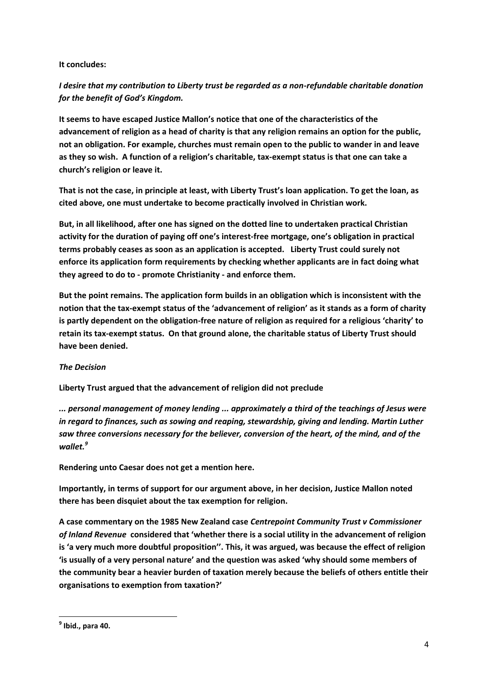## **It concludes:**

# *I desire that my contribution to Liberty trust be regarded as a non-refundable charitable donation for the benefit of God's Kingdom.*

**It seems to have escaped Justice Mallon's notice that one of the characteristics of the advancement of religion as a head of charity is that any religion remains an option for the public, not an obligation. For example, churches must remain open to the public to wander in and leave as they so wish. A function of a religion's charitable, tax-exempt status is that one can take a church's religion or leave it.** 

**That is not the case, in principle at least, with Liberty Trust's loan application. To get the loan, as cited above, one must undertake to become practically involved in Christian work.** 

**But, in all likelihood, after one has signed on the dotted line to undertaken practical Christian activity for the duration of paying off one's interest-free mortgage, one's obligation in practical terms probably ceases as soon as an application is accepted. Liberty Trust could surely not enforce its application form requirements by checking whether applicants are in fact doing what they agreed to do to - promote Christianity - and enforce them.**

**But the point remains. The application form builds in an obligation which is inconsistent with the notion that the tax-exempt status of the 'advancement of religion' as it stands as a form of charity is partly dependent on the obligation-free nature of religion as required for a religious 'charity' to retain its tax-exempt status. On that ground alone, the charitable status of Liberty Trust should have been denied.**

# *The Decision*

**Liberty Trust argued that the advancement of religion did not preclude**

*... personal management of money lending ... approximately a third of the teachings of Jesus were in regard to finances, such as sowing and reaping, stewardship, giving and lending. Martin Luther saw three conversions necessary for the believer, conversion of the heart, of the mind, and of the wallet.<sup>9</sup>*

**Rendering unto Caesar does not get a mention here.**

**Importantly, in terms of support for our argument above, in her decision, Justice Mallon noted there has been disquiet about the tax exemption for religion.** 

**A case commentary on the 1985 New Zealand case** *Centrepoint Community Trust v Commissioner of Inland Revenue* **considered that 'whether there is a social utility in the advancement of religion is 'a very much more doubtful proposition''. This, it was argued, was because the effect of religion 'is usually of a very personal nature' and the question was asked 'why should some members of the community bear a heavier burden of taxation merely because the beliefs of others entitle their organisations to exemption from taxation?'** 

**<sup>.</sup> 9 Ibid., para 40.**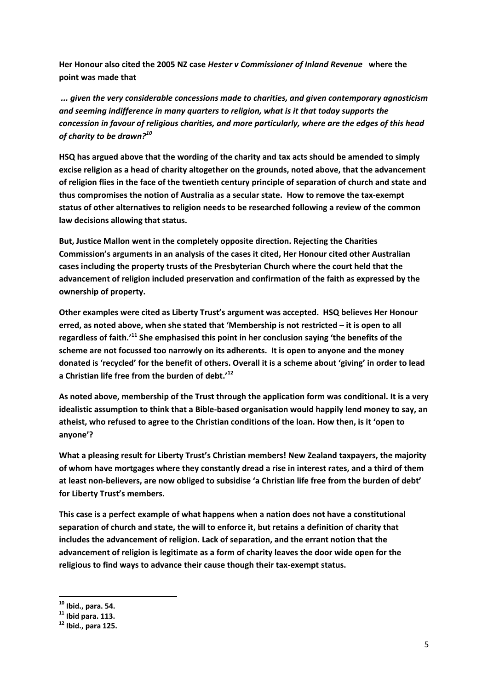**Her Honour also cited the 2005 NZ case** *Hester v Commissioner of Inland Revenue* **where the point was made that**

*... given the very considerable concessions made to charities, and given contemporary agnosticism and seeming indifference in many quarters to religion, what is it that today supports the concession in favour of religious charities, and more particularly, where are the edges of this head of charity to be drawn?<sup>10</sup>*

**HSQ has argued above that the wording of the charity and tax acts should be amended to simply excise religion as a head of charity altogether on the grounds, noted above, that the advancement of religion flies in the face of the twentieth century principle of separation of church and state and thus compromises the notion of Australia as a secular state. How to remove the tax-exempt status of other alternatives to religion needs to be researched following a review of the common law decisions allowing that status.**

**But, Justice Mallon went in the completely opposite direction. Rejecting the Charities Commission's arguments in an analysis of the cases it cited, Her Honour cited other Australian cases including the property trusts of the Presbyterian Church where the court held that the advancement of religion included preservation and confirmation of the faith as expressed by the ownership of property.**

**Other examples were cited as Liberty Trust's argument was accepted. HSQ believes Her Honour erred, as noted above, when she stated that 'Membership is not restricted – it is open to all regardless of faith.'<sup>11</sup> She emphasised this point in her conclusion saying 'the benefits of the scheme are not focussed too narrowly on its adherents. It is open to anyone and the money donated is 'recycled' for the benefit of others. Overall it is a scheme about 'giving' in order to lead a Christian life free from the burden of debt.'<sup>12</sup>**

**As noted above, membership of the Trust through the application form was conditional. It is a very idealistic assumption to think that a Bible-based organisation would happily lend money to say, an atheist, who refused to agree to the Christian conditions of the loan. How then, is it 'open to anyone'?**

**What a pleasing result for Liberty Trust's Christian members! New Zealand taxpayers, the majority of whom have mortgages where they constantly dread a rise in interest rates, and a third of them at least non-believers, are now obliged to subsidise 'a Christian life free from the burden of debt' for Liberty Trust's members.**

**This case is a perfect example of what happens when a nation does not have a constitutional separation of church and state, the will to enforce it, but retains a definition of charity that includes the advancement of religion. Lack of separation, and the errant notion that the advancement of religion is legitimate as a form of charity leaves the door wide open for the religious to find ways to advance their cause though their tax-exempt status.** 

**<sup>.</sup> <sup>10</sup> Ibid., para. 54.**

**<sup>11</sup> Ibid para. 113.**

**<sup>12</sup> Ibid., para 125.**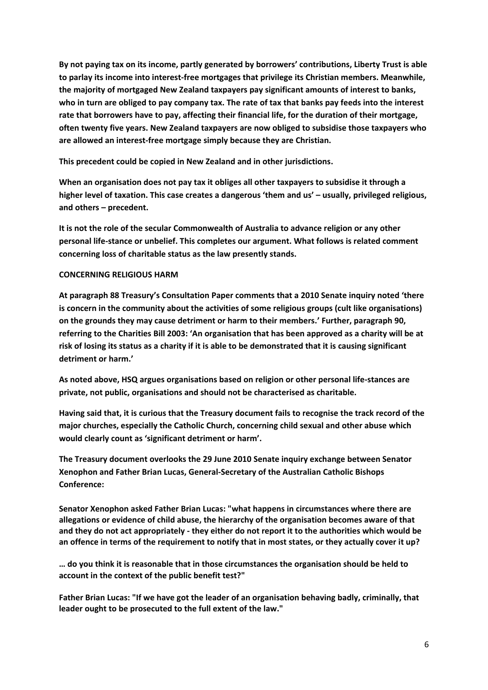**By not paying tax on its income, partly generated by borrowers' contributions, Liberty Trust is able to parlay its income into interest-free mortgages that privilege its Christian members. Meanwhile, the majority of mortgaged New Zealand taxpayers pay significant amounts of interest to banks, who in turn are obliged to pay company tax. The rate of tax that banks pay feeds into the interest rate that borrowers have to pay, affecting their financial life, for the duration of their mortgage, often twenty five years. New Zealand taxpayers are now obliged to subsidise those taxpayers who are allowed an interest-free mortgage simply because they are Christian.** 

**This precedent could be copied in New Zealand and in other jurisdictions.**

**When an organisation does not pay tax it obliges all other taxpayers to subsidise it through a higher level of taxation. This case creates a dangerous 'them and us' – usually, privileged religious, and others – precedent.**

**It is not the role of the secular Commonwealth of Australia to advance religion or any other personal life-stance or unbelief. This completes our argument. What follows is related comment concerning loss of charitable status as the law presently stands.**

### **CONCERNING RELIGIOUS HARM**

**At paragraph 88 Treasury's Consultation Paper comments that a 2010 Senate inquiry noted 'there is concern in the community about the activities of some religious groups (cult like organisations) on the grounds they may cause detriment or harm to their members.' Further, paragraph 90, referring to the Charities Bill 2003: 'An organisation that has been approved as a charity will be at risk of losing its status as a charity if it is able to be demonstrated that it is causing significant detriment or harm.'** 

**As noted above, HSQ argues organisations based on religion or other personal life-stances are private, not public, organisations and should not be characterised as charitable.** 

**Having said that, it is curious that the Treasury document fails to recognise the track record of the major churches, especially the Catholic Church, concerning child sexual and other abuse which would clearly count as 'significant detriment or harm'.** 

**The Treasury document overlooks the 29 June 2010 Senate inquiry exchange between Senator Xenophon and Father Brian Lucas, General-Secretary of the Australian Catholic Bishops Conference:**

**Senator Xenophon asked Father Brian Lucas: "what happens in circumstances where there are allegations or evidence of child abuse, the hierarchy of the organisation becomes aware of that and they do not act appropriately - they either do not report it to the authorities which would be an offence in terms of the requirement to notify that in most states, or they actually cover it up?** 

**… do you think it is reasonable that in those circumstances the organisation should be held to account in the context of the public benefit test?"**

**Father Brian Lucas: "If we have got the leader of an organisation behaving badly, criminally, that leader ought to be prosecuted to the full extent of the law."**